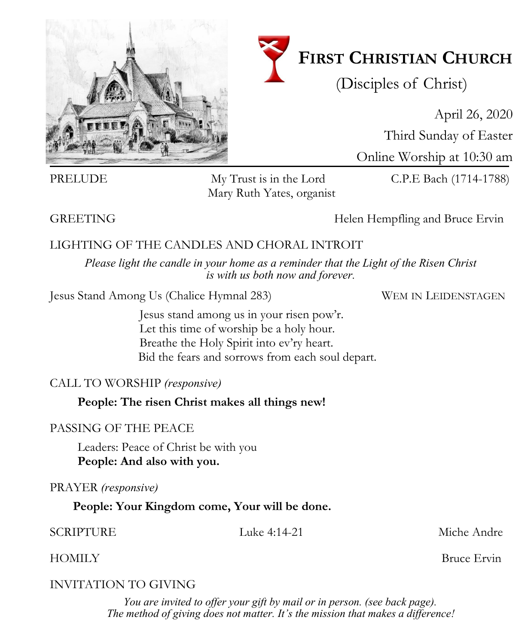

# **FIRST CHRISTIAN CHURCH**

(Disciples of Christ)

April 26, 2020 Third Sunday of Easter Online Worship at 10:30 am

PRELUDE My Trust is in the Lord C.P.E Bach (1714-1788)

GREETING GREETING **Helen Hempfling and Bruce Ervin** 

### LIGHTING OF THE CANDLES AND CHORAL INTROIT

*Please light the candle in your home as a reminder that the Light of the Risen Christ is with us both now and forever.*

Jesus Stand Among Us (Chalice Hymnal 283) WEM IN LEIDENSTAGEN

Jesus stand among us in your risen pow'r. Let this time of worship be a holy hour. Breathe the Holy Spirit into ev'ry heart. Bid the fears and sorrows from each soul depart.

#### CALL TO WORSHIP *(responsive)*

**People: The risen Christ makes all things new!**

### PASSING OF THE PEACE

Leaders: Peace of Christ be with you **People: And also with you.** 

PRAYER *(responsive)*

**People: Your Kingdom come, Your will be done.**

SCRIPTURE Luke 4:14-21 Miche Andre

HOMILY Bruce Ervin

### INVITATION TO GIVING

*You are invited to offer your gift by mail or in person. (see back page). The method of giving does not matter. It's the mission that makes a difference!*

Mary Ruth Yates, organist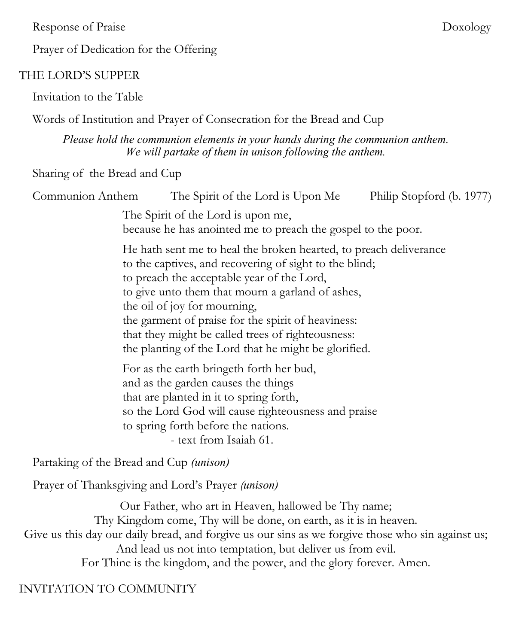Response of Praise Doxology

Prayer of Dedication for the Offering

#### THE LORD'S SUPPER

Invitation to the Table

Words of Institution and Prayer of Consecration for the Bread and Cup

*Please hold the communion elements in your hands during the communion anthem. We will partake of them in unison following the anthem.*

Sharing of the Bread and Cup

| Communion Anthem                                                                                   | The Spirit of the Lord is Upon Me                                                                                                                                                                                                                                                                                                                                                                                                | Philip Stopford (b. 1977) |
|----------------------------------------------------------------------------------------------------|----------------------------------------------------------------------------------------------------------------------------------------------------------------------------------------------------------------------------------------------------------------------------------------------------------------------------------------------------------------------------------------------------------------------------------|---------------------------|
| The Spirit of the Lord is upon me,<br>because he has anointed me to preach the gospel to the poor. |                                                                                                                                                                                                                                                                                                                                                                                                                                  |                           |
|                                                                                                    | He hath sent me to heal the broken hearted, to preach deliverance<br>to the captives, and recovering of sight to the blind;<br>to preach the acceptable year of the Lord,<br>to give unto them that mourn a garland of ashes,<br>the oil of joy for mourning,<br>the garment of praise for the spirit of heaviness:<br>that they might be called trees of righteousness:<br>the planting of the Lord that he might be glorified. |                           |
|                                                                                                    | For as the earth bringeth forth her bud,<br>and as the garden causes the things<br>that are planted in it to spring forth,<br>so the Lord God will cause righteousness and praise<br>to spring forth before the nations.<br>- text from Isaiah 61.                                                                                                                                                                               |                           |
| Partaking of the Bread and Cup <i>(unison)</i>                                                     |                                                                                                                                                                                                                                                                                                                                                                                                                                  |                           |

Prayer of Thanksgiving and Lord's Prayer *(unison)*

Our Father, who art in Heaven, hallowed be Thy name; Thy Kingdom come, Thy will be done, on earth, as it is in heaven. Give us this day our daily bread, and forgive us our sins as we forgive those who sin against us; And lead us not into temptation, but deliver us from evil. For Thine is the kingdom, and the power, and the glory forever. Amen.

INVITATION TO COMMUNITY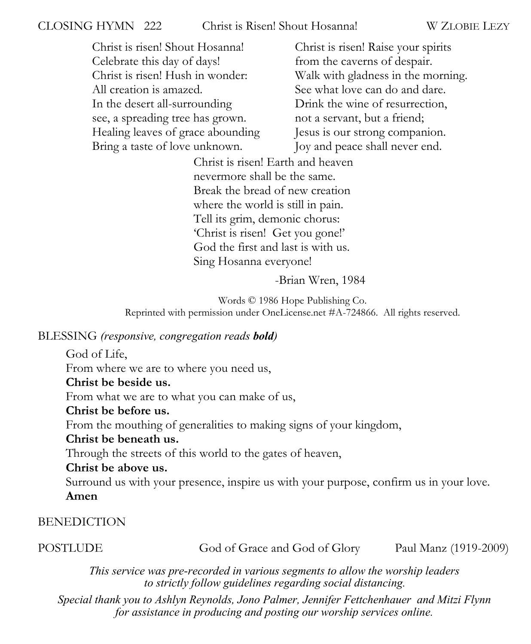#### CLOSING HYMN 222 Christ is Risen! Shout Hosanna! W ZLOBIE LEZY

Christ is risen! Shout Hosanna! Celebrate this day of days! Christ is risen! Hush in wonder: All creation is amazed. In the desert all-surrounding see, a spreading tree has grown. Healing leaves of grace abounding Bring a taste of love unknown.

Christ is risen! Raise your spirits from the caverns of despair. Walk with gladness in the morning. See what love can do and dare. Drink the wine of resurrection, not a servant, but a friend; Jesus is our strong companion. Joy and peace shall never end.

Christ is risen! Earth and heaven nevermore shall be the same. Break the bread of new creation where the world is still in pain. Tell its grim, demonic chorus: 'Christ is risen! Get you gone!' God the first and last is with us. Sing Hosanna everyone!

-Brian Wren, 1984

Words © 1986 Hope Publishing Co. Reprinted with permission under OneLicense.net #A-724866. All rights reserved.

#### BLESSING *(responsive, congregation reads bold)*

God of Life, From where we are to where you need us, **Christ be beside us.**  From what we are to what you can make of us, **Christ be before us.** From the mouthing of generalities to making signs of your kingdom, **Christ be beneath us.**  Through the streets of this world to the gates of heaven, **Christ be above us.** Surround us with your presence, inspire us with your purpose, confirm us in your love. **Amen** 

#### **BENEDICTION**

POSTLUDE God of Grace and God of Glory Paul Manz (1919-2009)

*This service was pre-recorded in various segments to allow the worship leaders to strictly follow guidelines regarding social distancing.* 

*Special thank you to Ashlyn Reynolds, Jono Palmer, Jennifer Fettchenhauer and Mitzi Flynn for assistance in producing and posting our worship services online.*